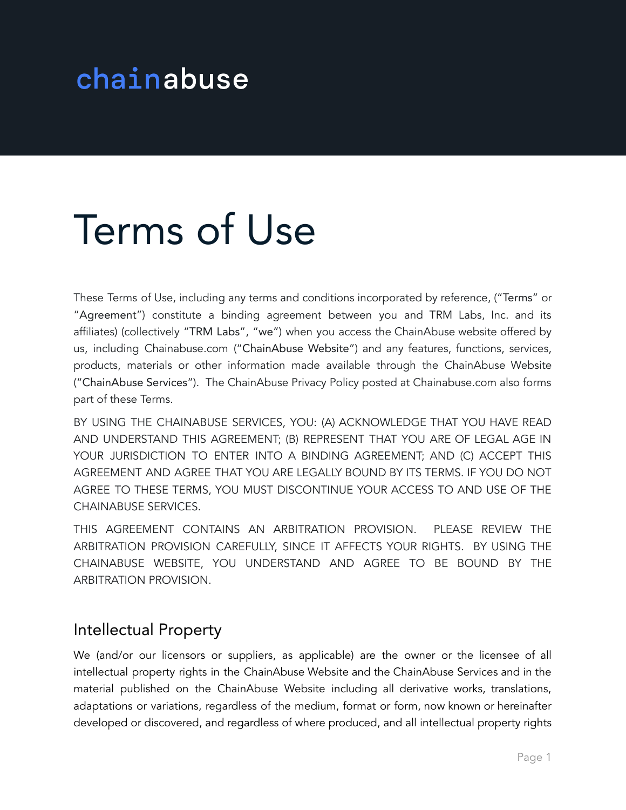# chainabuse

# Terms of Use

These Terms of Use, including any terms and conditions incorporated by reference, ("Terms" or "Agreement") constitute a binding agreement between you and TRM Labs, Inc. and its affiliates) (collectively "TRM Labs", "we") when you access the ChainAbuse website offered by us, including Chainabuse.com ("ChainAbuse Website") and any features, functions, services, products, materials or other information made available through the ChainAbuse Website ("ChainAbuse Services"). The ChainAbuse Privacy Policy posted at Chainabuse.com also forms part of these Terms.

BY USING THE CHAINABUSE SERVICES, YOU: (A) ACKNOWLEDGE THAT YOU HAVE READ AND UNDERSTAND THIS AGREEMENT; (B) REPRESENT THAT YOU ARE OF LEGAL AGE IN YOUR JURISDICTION TO ENTER INTO A BINDING AGREEMENT; AND (C) ACCEPT THIS AGREEMENT AND AGREE THAT YOU ARE LEGALLY BOUND BY ITS TERMS. IF YOU DO NOT AGREE TO THESE TERMS, YOU MUST DISCONTINUE YOUR ACCESS TO AND USE OF THE CHAINABUSE SERVICES.

THIS AGREEMENT CONTAINS AN ARBITRATION PROVISION. PLEASE REVIEW THE ARBITRATION PROVISION CAREFULLY, SINCE IT AFFECTS YOUR RIGHTS. BY USING THE CHAINABUSE WEBSITE, YOU UNDERSTAND AND AGREE TO BE BOUND BY THE ARBITRATION PROVISION.

#### Intellectual Property

We (and/or our licensors or suppliers, as applicable) are the owner or the licensee of all intellectual property rights in the ChainAbuse Website and the ChainAbuse Services and in the material published on the ChainAbuse Website including all derivative works, translations, adaptations or variations, regardless of the medium, format or form, now known or hereinafter developed or discovered, and regardless of where produced, and all intellectual property rights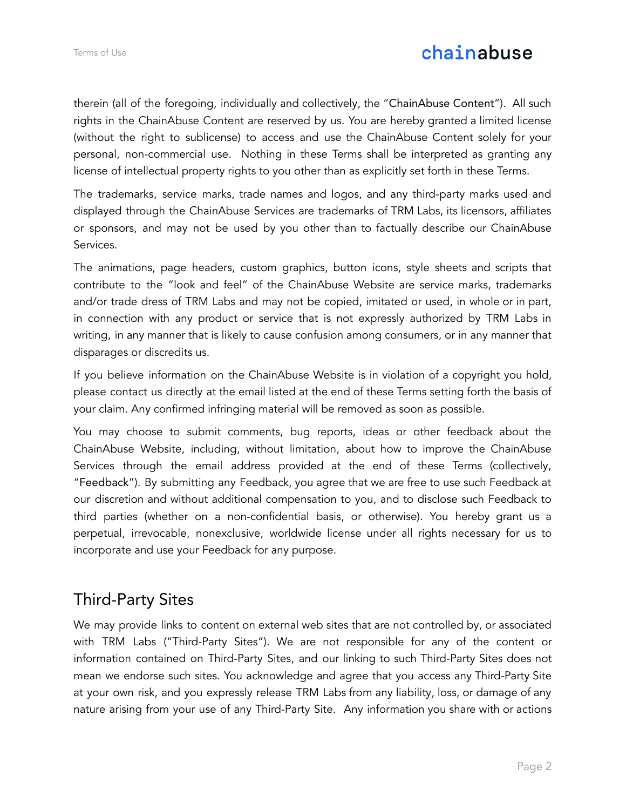# chainabuse

therein (all of the foregoing, individually and collectively, the "ChainAbuse Content"). All such rights in the ChainAbuse Content are reserved by us. You are hereby granted a limited license (without the right to sublicense) to access and use the ChainAbuse Content solely for your personal, non-commercial use. Nothing in these Terms shall be interpreted as granting any license of intellectual property rights to you other than as explicitly set forth in these Terms.

The trademarks, service marks, trade names and logos, and any third-party marks used and displayed through the ChainAbuse Services are trademarks of TRM Labs, its licensors, affiliates or sponsors, and may not be used by you other than to factually describe our ChainAbuse Services.

The animations, page headers, custom graphics, button icons, style sheets and scripts that contribute to the "look and feel" of the ChainAbuse Website are service marks, trademarks and/or trade dress of TRM Labs and may not be copied, imitated or used, in whole or in part, in connection with any product or service that is not expressly authorized by TRM Labs in writing, in any manner that is likely to cause confusion among consumers, or in any manner that disparages or discredits us.

If you believe information on the ChainAbuse Website is in violation of a copyright you hold, please contact us directly at the email listed at the end of these Terms setting forth the basis of your claim. Any confirmed infringing material will be removed as soon as possible.

You may choose to submit comments, bug reports, ideas or other feedback about the ChainAbuse Website, including, without limitation, about how to improve the ChainAbuse Services through the email address provided at the end of these Terms (collectively, "Feedback"). By submitting any Feedback, you agree that we are free to use such Feedback at our discretion and without additional compensation to you, and to disclose such Feedback to third parties (whether on a non-confidential basis, or otherwise). You hereby grant us a perpetual, irrevocable, nonexclusive, worldwide license under all rights necessary for us to incorporate and use your Feedback for any purpose.

# Third-Party Sites

We may provide links to content on external web sites that are not controlled by, or associated with TRM Labs ("Third-Party Sites"). We are not responsible for any of the content or information contained on Third-Party Sites, and our linking to such Third-Party Sites does not mean we endorse such sites. You acknowledge and agree that you access any Third-Party Site at your own risk, and you expressly release TRM Labs from any liability, loss, or damage of any nature arising from your use of any Third-Party Site. Any information you share with or actions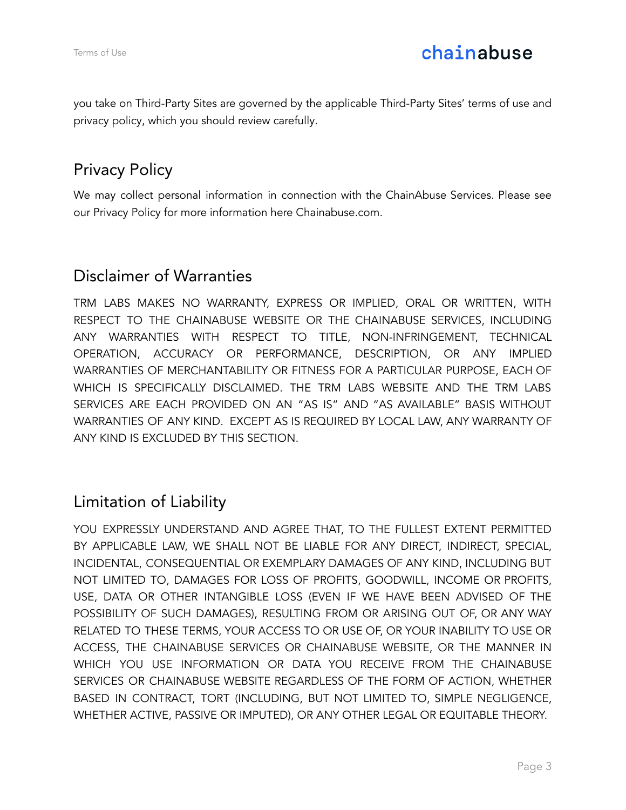you take on Third-Party Sites are governed by the applicable Third-Party Sites' terms of use and privacy policy, which you should review carefully.

# Privacy Policy

We may collect personal information in connection with the ChainAbuse Services. Please see our Privacy Policy for more information here Chainabuse.com.

# Disclaimer of Warranties

TRM LABS MAKES NO WARRANTY, EXPRESS OR IMPLIED, ORAL OR WRITTEN, WITH RESPECT TO THE CHAINABUSE WEBSITE OR THE CHAINABUSE SERVICES, INCLUDING ANY WARRANTIES WITH RESPECT TO TITLE, NON-INFRINGEMENT, TECHNICAL OPERATION, ACCURACY OR PERFORMANCE, DESCRIPTION, OR ANY IMPLIED WARRANTIES OF MERCHANTABILITY OR FITNESS FOR A PARTICULAR PURPOSE, EACH OF WHICH IS SPECIFICALLY DISCLAIMED. THE TRM LABS WEBSITE AND THE TRM LABS SERVICES ARE EACH PROVIDED ON AN "AS IS" AND "AS AVAILABLE" BASIS WITHOUT WARRANTIES OF ANY KIND. EXCEPT AS IS REQUIRED BY LOCAL LAW, ANY WARRANTY OF ANY KIND IS EXCLUDED BY THIS SECTION.

# Limitation of Liability

YOU EXPRESSLY UNDERSTAND AND AGREE THAT, TO THE FULLEST EXTENT PERMITTED BY APPLICABLE LAW, WE SHALL NOT BE LIABLE FOR ANY DIRECT, INDIRECT, SPECIAL, INCIDENTAL, CONSEQUENTIAL OR EXEMPLARY DAMAGES OF ANY KIND, INCLUDING BUT NOT LIMITED TO, DAMAGES FOR LOSS OF PROFITS, GOODWILL, INCOME OR PROFITS, USE, DATA OR OTHER INTANGIBLE LOSS (EVEN IF WE HAVE BEEN ADVISED OF THE POSSIBILITY OF SUCH DAMAGES), RESULTING FROM OR ARISING OUT OF, OR ANY WAY RELATED TO THESE TERMS, YOUR ACCESS TO OR USE OF, OR YOUR INABILITY TO USE OR ACCESS, THE CHAINABUSE SERVICES OR CHAINABUSE WEBSITE, OR THE MANNER IN WHICH YOU USE INFORMATION OR DATA YOU RECEIVE FROM THE CHAINABUSE SERVICES OR CHAINABUSE WEBSITE REGARDLESS OF THE FORM OF ACTION, WHETHER BASED IN CONTRACT, TORT (INCLUDING, BUT NOT LIMITED TO, SIMPLE NEGLIGENCE, WHETHER ACTIVE, PASSIVE OR IMPUTED), OR ANY OTHER LEGAL OR EQUITABLE THEORY.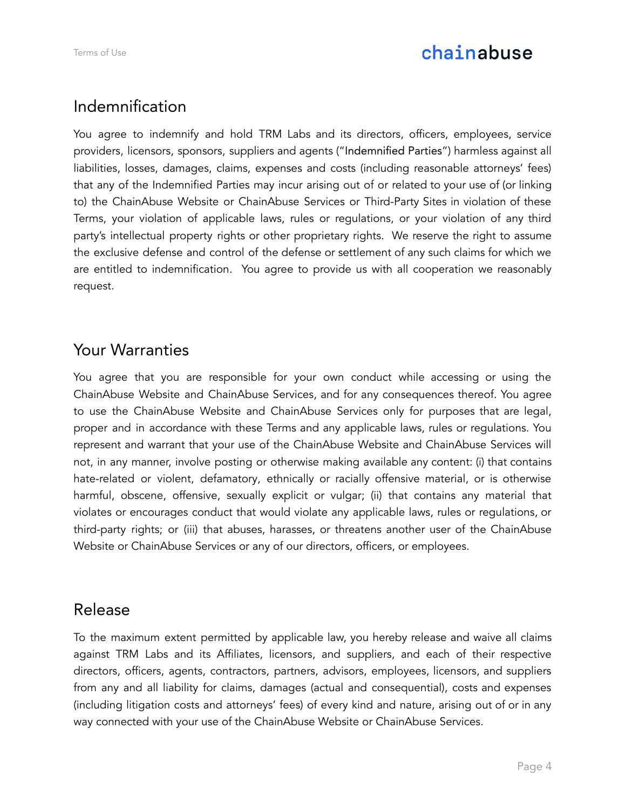# chainabuse

## Indemnification

You agree to indemnify and hold TRM Labs and its directors, officers, employees, service providers, licensors, sponsors, suppliers and agents ("Indemnified Parties") harmless against all liabilities, losses, damages, claims, expenses and costs (including reasonable attorneys' fees) that any of the Indemnified Parties may incur arising out of or related to your use of (or linking to) the ChainAbuse Website or ChainAbuse Services or Third-Party Sites in violation of these Terms, your violation of applicable laws, rules or regulations, or your violation of any third party's intellectual property rights or other proprietary rights. We reserve the right to assume the exclusive defense and control of the defense or settlement of any such claims for which we are entitled to indemnification. You agree to provide us with all cooperation we reasonably request.

#### Your Warranties

You agree that you are responsible for your own conduct while accessing or using the ChainAbuse Website and ChainAbuse Services, and for any consequences thereof. You agree to use the ChainAbuse Website and ChainAbuse Services only for purposes that are legal, proper and in accordance with these Terms and any applicable laws, rules or regulations. You represent and warrant that your use of the ChainAbuse Website and ChainAbuse Services will not, in any manner, involve posting or otherwise making available any content: (i) that contains hate-related or violent, defamatory, ethnically or racially offensive material, or is otherwise harmful, obscene, offensive, sexually explicit or vulgar; (ii) that contains any material that violates or encourages conduct that would violate any applicable laws, rules or regulations, or third-party rights; or (iii) that abuses, harasses, or threatens another user of the ChainAbuse Website or ChainAbuse Services or any of our directors, officers, or employees.

#### Release

To the maximum extent permitted by applicable law, you hereby release and waive all claims against TRM Labs and its Affiliates, licensors, and suppliers, and each of their respective directors, officers, agents, contractors, partners, advisors, employees, licensors, and suppliers from any and all liability for claims, damages (actual and consequential), costs and expenses (including litigation costs and attorneys' fees) of every kind and nature, arising out of or in any way connected with your use of the ChainAbuse Website or ChainAbuse Services.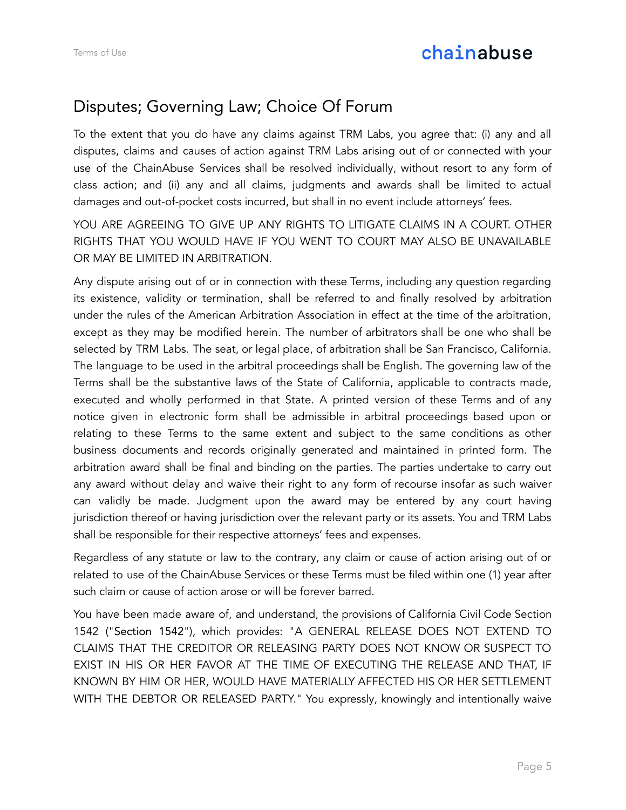# Disputes; Governing Law; Choice Of Forum

To the extent that you do have any claims against TRM Labs, you agree that: (i) any and all disputes, claims and causes of action against TRM Labs arising out of or connected with your use of the ChainAbuse Services shall be resolved individually, without resort to any form of class action; and (ii) any and all claims, judgments and awards shall be limited to actual damages and out-of-pocket costs incurred, but shall in no event include attorneys' fees.

YOU ARE AGREEING TO GIVE UP ANY RIGHTS TO LITIGATE CLAIMS IN A COURT. OTHER RIGHTS THAT YOU WOULD HAVE IF YOU WENT TO COURT MAY ALSO BE UNAVAILABLE OR MAY BE LIMITED IN ARBITRATION.

Any dispute arising out of or in connection with these Terms, including any question regarding its existence, validity or termination, shall be referred to and finally resolved by arbitration under the rules of the American Arbitration Association in effect at the time of the arbitration, except as they may be modified herein. The number of arbitrators shall be one who shall be selected by TRM Labs. The seat, or legal place, of arbitration shall be San Francisco, California. The language to be used in the arbitral proceedings shall be English. The governing law of the Terms shall be the substantive laws of the State of California, applicable to contracts made, executed and wholly performed in that State. A printed version of these Terms and of any notice given in electronic form shall be admissible in arbitral proceedings based upon or relating to these Terms to the same extent and subject to the same conditions as other business documents and records originally generated and maintained in printed form. The arbitration award shall be final and binding on the parties. The parties undertake to carry out any award without delay and waive their right to any form of recourse insofar as such waiver can validly be made. Judgment upon the award may be entered by any court having jurisdiction thereof or having jurisdiction over the relevant party or its assets. You and TRM Labs shall be responsible for their respective attorneys' fees and expenses.

Regardless of any statute or law to the contrary, any claim or cause of action arising out of or related to use of the ChainAbuse Services or these Terms must be filed within one (1) year after such claim or cause of action arose or will be forever barred.

You have been made aware of, and understand, the provisions of California Civil Code Section 1542 ("Section 1542"), which provides: "A GENERAL RELEASE DOES NOT EXTEND TO CLAIMS THAT THE CREDITOR OR RELEASING PARTY DOES NOT KNOW OR SUSPECT TO EXIST IN HIS OR HER FAVOR AT THE TIME OF EXECUTING THE RELEASE AND THAT, IF KNOWN BY HIM OR HER, WOULD HAVE MATERIALLY AFFECTED HIS OR HER SETTLEMENT WITH THE DEBTOR OR RELEASED PARTY." You expressly, knowingly and intentionally waive